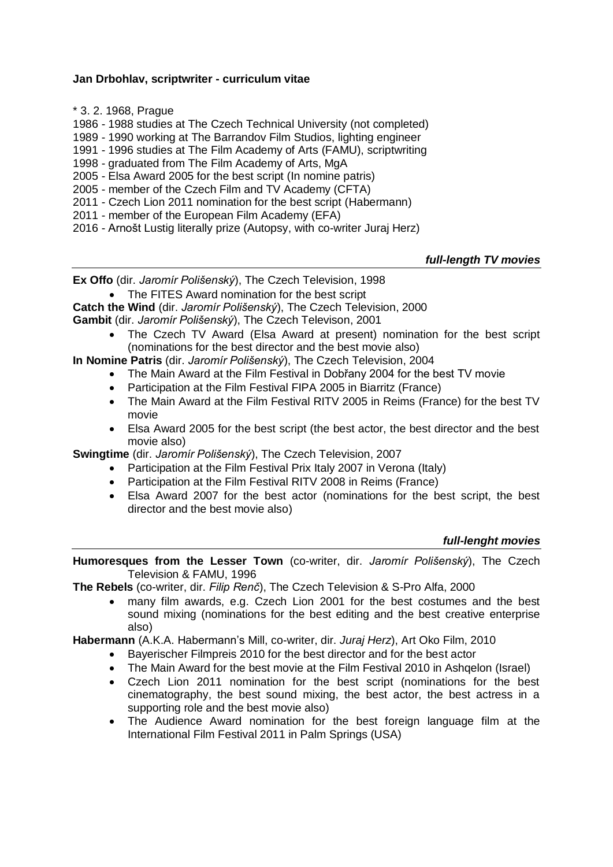## **Jan Drbohlav, scriptwriter - curriculum vitae**

\* 3. 2. 1968, Prague

1986 - 1988 studies at The Czech Technical University (not completed)

1989 - 1990 working at The Barrandov Film Studios, lighting engineer

1991 - 1996 studies at The Film Academy of Arts (FAMU), scriptwriting

1998 - graduated from The Film Academy of Arts, MgA

- 2005 Elsa Award 2005 for the best script (In nomine patris)
- 2005 member of the Czech Film and TV Academy (CFTA)
- 2011 Czech Lion 2011 nomination for the best script (Habermann)
- 2011 member of the European Film Academy (EFA)
- 2016 Arnošt Lustig literally prize (Autopsy, with co-writer Juraj Herz)

## *full-length TV movies*

**Ex Offo** (dir. *Jaromír Polišenský*), The Czech Television, 1998

The FITES Award nomination for the best script

**Catch the Wind** (dir. *Jaromír Polišenský*), The Czech Television, 2000

**Gambit** (dir. *Jaromír Polišenský*), The Czech Televison, 2001

• The Czech TV Award (Elsa Award at present) nomination for the best script (nominations for the best director and the best movie also)

**In Nomine Patris** (dir. *Jaromír Polišenský*), The Czech Television, 2004

- The Main Award at the Film Festival in Dobřany 2004 for the best TV movie
- Participation at the Film Festival FIPA 2005 in Biarritz (France)
- The Main Award at the Film Festival RITV 2005 in Reims (France) for the best TV movie
- Elsa Award 2005 for the best script (the best actor, the best director and the best movie also)

**Swingtime** (dir. *Jaromír Polišenský*), The Czech Television, 2007

- Participation at the Film Festival Prix Italy 2007 in Verona (Italy)
- Participation at the Film Festival RITV 2008 in Reims (France)
- Elsa Award 2007 for the best actor (nominations for the best script, the best director and the best movie also)

## *full-lenght movies*

**Humoresques from the Lesser Town** (co-writer, dir. *Jaromír Polišenský*), The Czech Television & FAMU, 1996

**The Rebels** (co-writer, dir. *Filip Renč*), The Czech Television & S-Pro Alfa, 2000

 many film awards, e.g. Czech Lion 2001 for the best costumes and the best sound mixing (nominations for the best editing and the best creative enterprise also)

**Habermann** (A.K.A. Habermann's Mill, co-writer, dir. *Juraj Herz*), Art Oko Film, 2010

- Bayerischer Filmpreis 2010 for the best director and for the best actor
- The Main Award for the best movie at the Film Festival 2010 in Ashqelon (Israel)
- Czech Lion 2011 nomination for the best script (nominations for the best cinematography, the best sound mixing, the best actor, the best actress in a supporting role and the best movie also)
- The Audience Award nomination for the best foreign language film at the International Film Festival 2011 in Palm Springs (USA)